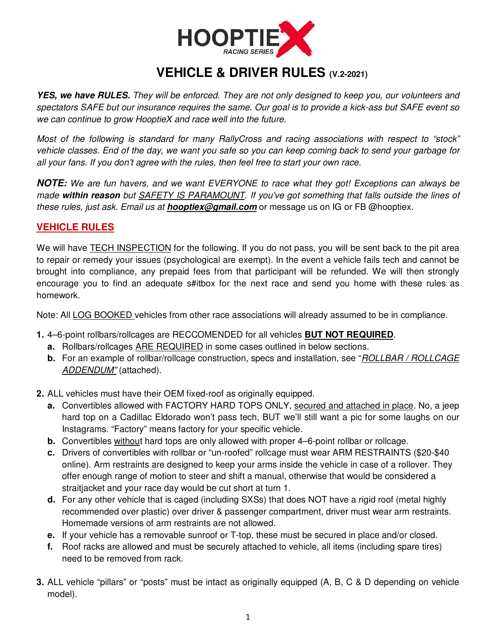

## **VEHICLE & DRIVER RULES (V.2-2021)**

*YES, we have RULES.* They will be enforced. They are not only designed to keep you, our volunteers and spectators SAFE but our insurance requires the same. Our goal is to provide a kick-ass but SAFE event so we can continue to grow HooptieX and race well into the future.

Most of the following is standard for many RallyCross and racing associations with respect to "stock" vehicle classes. End of the day, we want you safe so you can keep coming back to send your garbage for all your fans. If you don't agree with the rules, then feel free to start your own race.

*NOTE:* We are fun havers, and we want EVERYONE to race what they got! Exceptions can always be made *within reason* but SAFETY IS PARAMOUNT. If you've got something that falls outside the lines of these rules, just ask. Email us at *hooptiex@gmail.com* or message us on IG or FB @hooptiex.

## **VEHICLE RULES**

We will have **TECH INSPECTION** for the following. If you do not pass, you will be sent back to the pit area to repair or remedy your issues (psychological are exempt). In the event a vehicle fails tech and cannot be brought into compliance, any prepaid fees from that participant will be refunded. We will then strongly encourage you to find an adequate s#itbox for the next race and send you home with these rules as homework.

Note: All LOG BOOKED vehicles from other race associations will already assumed to be in compliance.

- **1.** 4–6-point rollbars/rollcages are RECCOMENDED for all vehicles **BUT NOT REQUIRED**.
	- **a.** Rollbars/rollcages ARE REQUIRED in some cases outlined in below sections.
	- **b.** For an example of rollbar/rollcage construction, specs and installation, see "ROLLBAR / ROLLCAGE ADDENDUM" (attached).
- **2.** ALL vehicles must have their OEM fixed-roof as originally equipped.
	- **a.** Convertibles allowed with FACTORY HARD TOPS ONLY, secured and attached in place. No, a jeep hard top on a Cadillac Eldorado won't pass tech, BUT we'll still want a pic for some laughs on our Instagrams. "Factory" means factory for your specific vehicle.
	- **b.** Convertibles without hard tops are only allowed with proper 4–6-point rollbar or rollcage.
	- **c.** Drivers of convertibles with rollbar or "un-roofed" rollcage must wear ARM RESTRAINTS (\$20-\$40 online). Arm restraints are designed to keep your arms inside the vehicle in case of a rollover. They offer enough range of motion to steer and shift a manual, otherwise that would be considered a straitjacket and your race day would be cut short at turn 1.
	- **d.** For any other vehicle that is caged (including SXSs) that does NOT have a rigid roof (metal highly recommended over plastic) over driver & passenger compartment, driver must wear arm restraints. Homemade versions of arm restraints are not allowed.
	- **e.** If your vehicle has a removable sunroof or T-top, these must be secured in place and/or closed.
	- **f.** Roof racks are allowed and must be securely attached to vehicle, all items (including spare tires) need to be removed from rack.
- **3.** ALL vehicle "pillars" or "posts" must be intact as originally equipped (A, B, C & D depending on vehicle model).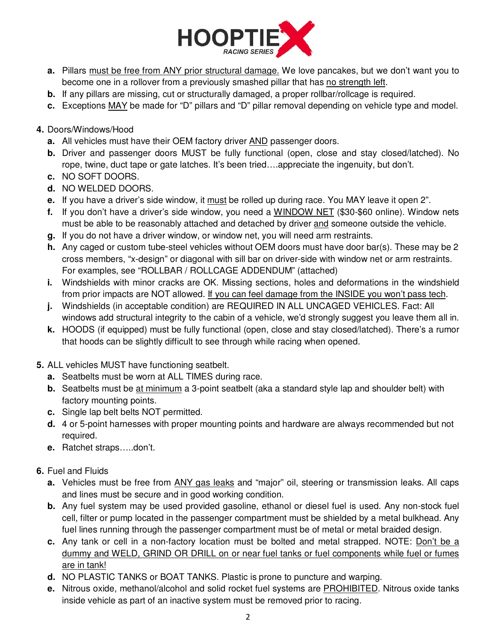

- **a.** Pillars must be free from ANY prior structural damage. We love pancakes, but we don't want you to become one in a rollover from a previously smashed pillar that has no strength left.
- **b.** If any pillars are missing, cut or structurally damaged, a proper rollbar/rollcage is required.
- **c.** Exceptions MAY be made for "D" pillars and "D" pillar removal depending on vehicle type and model.
- **4.** Doors/Windows/Hood
	- **a.** All vehicles must have their OEM factory driver AND passenger doors.
	- **b.** Driver and passenger doors MUST be fully functional (open, close and stay closed/latched). No rope, twine, duct tape or gate latches. It's been tried….appreciate the ingenuity, but don't.
	- **c.** NO SOFT DOORS.
	- **d.** NO WELDED DOORS.
	- **e.** If you have a driver's side window, it must be rolled up during race. You MAY leave it open 2".
	- **f.** If you don't have a driver's side window, you need a WINDOW NET (\$30-\$60 online). Window nets must be able to be reasonably attached and detached by driver and someone outside the vehicle.
	- **g.** If you do not have a driver window, or window net, you will need arm restraints.
	- **h.** Any caged or custom tube-steel vehicles without OEM doors must have door bar(s). These may be 2 cross members, "x-design" or diagonal with sill bar on driver-side with window net or arm restraints. For examples, see "ROLLBAR / ROLLCAGE ADDENDUM" (attached)
	- **i.** Windshields with minor cracks are OK. Missing sections, holes and deformations in the windshield from prior impacts are NOT allowed. If you can feel damage from the INSIDE you won't pass tech.
	- **j.** Windshields (in acceptable condition) are REQUIRED IN ALL UNCAGED VEHICLES. Fact: All windows add structural integrity to the cabin of a vehicle, we'd strongly suggest you leave them all in.
	- **k.** HOODS (if equipped) must be fully functional (open, close and stay closed/latched). There's a rumor that hoods can be slightly difficult to see through while racing when opened.
- **5.** ALL vehicles MUST have functioning seatbelt.
	- **a.** Seatbelts must be worn at ALL TIMES during race.
	- **b.** Seatbelts must be at minimum a 3-point seatbelt (aka a standard style lap and shoulder belt) with factory mounting points.
	- **c.** Single lap belt belts NOT permitted.
	- **d.** 4 or 5-point harnesses with proper mounting points and hardware are always recommended but not required.
	- **e.** Ratchet straps…..don't.
- **6.** Fuel and Fluids
	- **a.** Vehicles must be free from ANY gas leaks and "major" oil, steering or transmission leaks. All caps and lines must be secure and in good working condition.
	- **b.** Any fuel system may be used provided gasoline, ethanol or diesel fuel is used. Any non-stock fuel cell, filter or pump located in the passenger compartment must be shielded by a metal bulkhead. Any fuel lines running through the passenger compartment must be of metal or metal braided design.
	- **c.** Any tank or cell in a non-factory location must be bolted and metal strapped. NOTE: Don't be a dummy and WELD, GRIND OR DRILL on or near fuel tanks or fuel components while fuel or fumes are in tank!
	- **d.** NO PLASTIC TANKS or BOAT TANKS. Plastic is prone to puncture and warping.
	- **e.** Nitrous oxide, methanol/alcohol and solid rocket fuel systems are PROHIBITED. Nitrous oxide tanks inside vehicle as part of an inactive system must be removed prior to racing.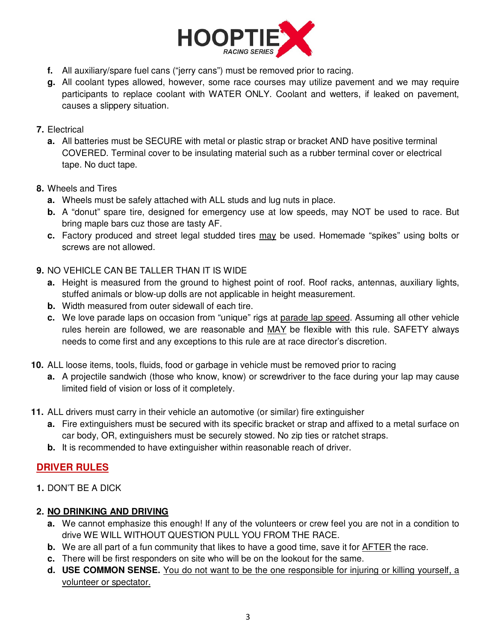

- **f.** All auxiliary/spare fuel cans ("jerry cans") must be removed prior to racing.
- **g.** All coolant types allowed, however, some race courses may utilize pavement and we may require participants to replace coolant with WATER ONLY. Coolant and wetters, if leaked on pavement, causes a slippery situation.

### **7.** Electrical

**a.** All batteries must be SECURE with metal or plastic strap or bracket AND have positive terminal COVERED. Terminal cover to be insulating material such as a rubber terminal cover or electrical tape. No duct tape.

### **8.** Wheels and Tires

- **a.** Wheels must be safely attached with ALL studs and lug nuts in place.
- **b.** A "donut" spare tire, designed for emergency use at low speeds, may NOT be used to race. But bring maple bars cuz those are tasty AF.
- **c.** Factory produced and street legal studded tires may be used. Homemade "spikes" using bolts or screws are not allowed.
- **9.** NO VEHICLE CAN BE TALLER THAN IT IS WIDE
	- **a.** Height is measured from the ground to highest point of roof. Roof racks, antennas, auxiliary lights, stuffed animals or blow-up dolls are not applicable in height measurement.
	- **b.** Width measured from outer sidewall of each tire.
	- **c.** We love parade laps on occasion from "unique" rigs at parade lap speed. Assuming all other vehicle rules herein are followed, we are reasonable and MAY be flexible with this rule. SAFETY always needs to come first and any exceptions to this rule are at race director's discretion.
- **10.** ALL loose items, tools, fluids, food or garbage in vehicle must be removed prior to racing
	- **a.** A projectile sandwich (those who know, know) or screwdriver to the face during your lap may cause limited field of vision or loss of it completely.
- **11.** ALL drivers must carry in their vehicle an automotive (or similar) fire extinguisher
	- **a.** Fire extinguishers must be secured with its specific bracket or strap and affixed to a metal surface on car body, OR, extinguishers must be securely stowed. No zip ties or ratchet straps.
	- **b.** It is recommended to have extinguisher within reasonable reach of driver.

## **DRIVER RULES**

**1.** DON'T BE A DICK

## **2. NO DRINKING AND DRIVING**

- **a.** We cannot emphasize this enough! If any of the volunteers or crew feel you are not in a condition to drive WE WILL WITHOUT QUESTION PULL YOU FROM THE RACE.
- **b.** We are all part of a fun community that likes to have a good time, save it for AFTER the race.
- **c.** There will be first responders on site who will be on the lookout for the same.
- **d. USE COMMON SENSE.** You do not want to be the one responsible for injuring or killing yourself, a volunteer or spectator.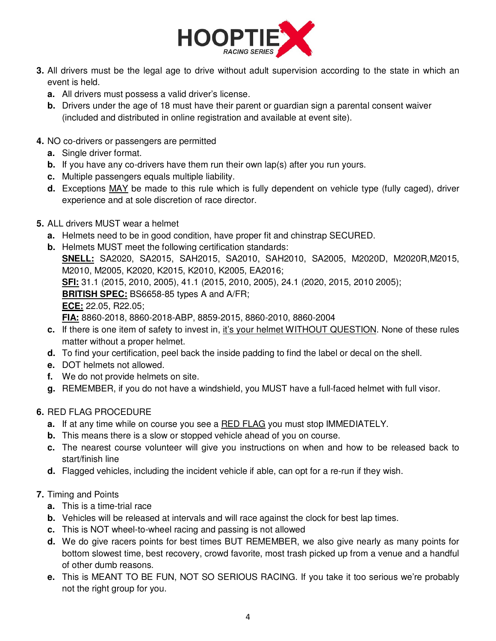

- **3.** All drivers must be the legal age to drive without adult supervision according to the state in which an event is held.
	- **a.** All drivers must possess a valid driver's license.
	- **b.** Drivers under the age of 18 must have their parent or guardian sign a parental consent waiver (included and distributed in online registration and available at event site).
- **4.** NO co-drivers or passengers are permitted
	- **a.** Single driver format.
	- **b.** If you have any co-drivers have them run their own lap(s) after you run yours.
	- **c.** Multiple passengers equals multiple liability.
	- **d.** Exceptions MAY be made to this rule which is fully dependent on vehicle type (fully caged), driver experience and at sole discretion of race director.
- **5.** ALL drivers MUST wear a helmet
	- **a.** Helmets need to be in good condition, have proper fit and chinstrap SECURED.
	- **b.** Helmets MUST meet the following certification standards: **SNELL:** SA2020, SA2015, SAH2015, SA2010, SAH2010, SA2005, M2020D, M2020R,M2015, M2010, M2005, K2020, K2015, K2010, K2005, EA2016; **SFI:** 31.1 (2015, 2010, 2005), 41.1 (2015, 2010, 2005), 24.1 (2020, 2015, 2010 2005); **BRITISH SPEC:** BS6658-85 types A and A/FR; **ECE:** 22.05, R22.05; **FIA:** 8860-2018, 8860-2018-ABP, 8859-2015, 8860-2010, 8860-2004
	- **c.** If there is one item of safety to invest in, it's your helmet WITHOUT QUESTION. None of these rules matter without a proper helmet.
	- **d.** To find your certification, peel back the inside padding to find the label or decal on the shell.
	- **e.** DOT helmets not allowed.
	- **f.** We do not provide helmets on site.
	- **g.** REMEMBER, if you do not have a windshield, you MUST have a full-faced helmet with full visor.

### **6.** RED FLAG PROCEDURE

- **a.** If at any time while on course you see a RED FLAG you must stop IMMEDIATELY.
- **b.** This means there is a slow or stopped vehicle ahead of you on course.
- **c.** The nearest course volunteer will give you instructions on when and how to be released back to start/finish line
- **d.** Flagged vehicles, including the incident vehicle if able, can opt for a re-run if they wish.

#### **7.** Timing and Points

- **a.** This is a time-trial race
- **b.** Vehicles will be released at intervals and will race against the clock for best lap times.
- **c.** This is NOT wheel-to-wheel racing and passing is not allowed
- **d.** We do give racers points for best times BUT REMEMBER, we also give nearly as many points for bottom slowest time, best recovery, crowd favorite, most trash picked up from a venue and a handful of other dumb reasons.
- **e.** This is MEANT TO BE FUN, NOT SO SERIOUS RACING. If you take it too serious we're probably not the right group for you.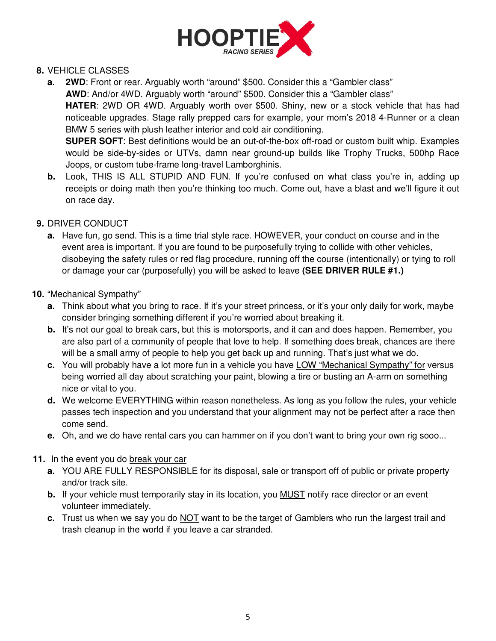

### **8.** VEHICLE CLASSES

- **a.** 2WD: Front or rear. Arguably worth "around" \$500. Consider this a "Gambler class" **AWD**: And/or 4WD. Arguably worth "around" \$500. Consider this a "Gambler class" **HATER**: 2WD OR 4WD. Arguably worth over \$500. Shiny, new or a stock vehicle that has had noticeable upgrades. Stage rally prepped cars for example, your mom's 2018 4-Runner or a clean BMW 5 series with plush leather interior and cold air conditioning. **SUPER SOFT**: Best definitions would be an out-of-the-box off-road or custom built whip. Examples would be side-by-sides or UTVs, damn near ground-up builds like Trophy Trucks, 500hp Race Joops, or custom tube-frame long-travel Lamborghinis.
- **b.** Look, THIS IS ALL STUPID AND FUN. If you're confused on what class you're in, adding up receipts or doing math then you're thinking too much. Come out, have a blast and we'll figure it out on race day.
- **9.** DRIVER CONDUCT
	- **a.** Have fun, go send. This is a time trial style race. HOWEVER, your conduct on course and in the event area is important. If you are found to be purposefully trying to collide with other vehicles, disobeying the safety rules or red flag procedure, running off the course (intentionally) or tying to roll or damage your car (purposefully) you will be asked to leave **(SEE DRIVER RULE #1.)**

### **10.** "Mechanical Sympathy"

- **a.** Think about what you bring to race. If it's your street princess, or it's your only daily for work, maybe consider bringing something different if you're worried about breaking it.
- **b.** It's not our goal to break cars, but this is motorsports, and it can and does happen. Remember, you are also part of a community of people that love to help. If something does break, chances are there will be a small army of people to help you get back up and running. That's just what we do.
- **c.** You will probably have a lot more fun in a vehicle you have LOW "Mechanical Sympathy" for versus being worried all day about scratching your paint, blowing a tire or busting an A-arm on something nice or vital to you.
- **d.** We welcome EVERYTHING within reason nonetheless. As long as you follow the rules, your vehicle passes tech inspection and you understand that your alignment may not be perfect after a race then come send.
- **e.** Oh, and we do have rental cars you can hammer on if you don't want to bring your own rig sooo...
- **11.** In the event you do break your car
	- **a.** YOU ARE FULLY RESPONSIBLE for its disposal, sale or transport off of public or private property and/or track site.
	- **b.** If your vehicle must temporarily stay in its location, you MUST notify race director or an event volunteer immediately.
	- **c.** Trust us when we say you do NOT want to be the target of Gamblers who run the largest trail and trash cleanup in the world if you leave a car stranded.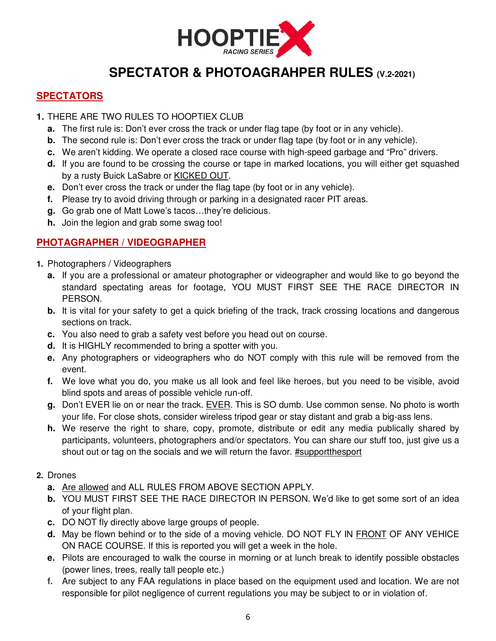

# **SPECTATOR & PHOTOAGRAHPER RULES (V.2-2021)**

## **SPECTATORS**

#### **1.** THERE ARE TWO RULES TO HOOPTIEX CLUB

- **a.** The first rule is: Don't ever cross the track or under flag tape (by foot or in any vehicle).
- **b.** The second rule is: Don't ever cross the track or under flag tape (by foot or in any vehicle).
- **c.** We aren't kidding. We operate a closed race course with high-speed garbage and "Pro" drivers.
- **d.** If you are found to be crossing the course or tape in marked locations, you will either get squashed by a rusty Buick LaSabre or KICKED OUT.
- **e.** Don't ever cross the track or under the flag tape (by foot or in any vehicle).
- **f.** Please try to avoid driving through or parking in a designated racer PIT areas.
- **g.** Go grab one of Matt Lowe's tacos…they're delicious.
- **h.** Join the legion and grab some swag too!

## **PHOTAGRAPHER / VIDEOGRAPHER**

- **1.** Photographers / Videographers
	- **a.** If you are a professional or amateur photographer or videographer and would like to go beyond the standard spectating areas for footage, YOU MUST FIRST SEE THE RACE DIRECTOR IN PERSON.
	- **b.** It is vital for your safety to get a quick briefing of the track, track crossing locations and dangerous sections on track.
	- **c.** You also need to grab a safety vest before you head out on course.
	- **d.** It is HIGHLY recommended to bring a spotter with you.
	- **e.** Any photographers or videographers who do NOT comply with this rule will be removed from the event.
	- **f.** We love what you do, you make us all look and feel like heroes, but you need to be visible, avoid blind spots and areas of possible vehicle run-off.
	- **g.** Don't EVER lie on or near the track. EVER. This is SO dumb. Use common sense. No photo is worth your life. For close shots, consider wireless tripod gear or stay distant and grab a big-ass lens.
	- **h.** We reserve the right to share, copy, promote, distribute or edit any media publically shared by participants, volunteers, photographers and/or spectators. You can share our stuff too, just give us a shout out or tag on the socials and we will return the favor. #supportthesport

### **2.** Drones

- **a.** Are allowed and ALL RULES FROM ABOVE SECTION APPLY.
- **b.** YOU MUST FIRST SEE THE RACE DIRECTOR IN PERSON. We'd like to get some sort of an idea of your flight plan.
- **c.** DO NOT fly directly above large groups of people.
- **d.** May be flown behind or to the side of a moving vehicle. DO NOT FLY IN FRONT OF ANY VEHICE ON RACE COURSE. If this is reported you will get a week in the hole.
- **e.** Pilots are encouraged to walk the course in morning or at lunch break to identify possible obstacles (power lines, trees, really tall people etc.)
- **f.** Are subject to any FAA regulations in place based on the equipment used and location. We are not responsible for pilot negligence of current regulations you may be subject to or in violation of.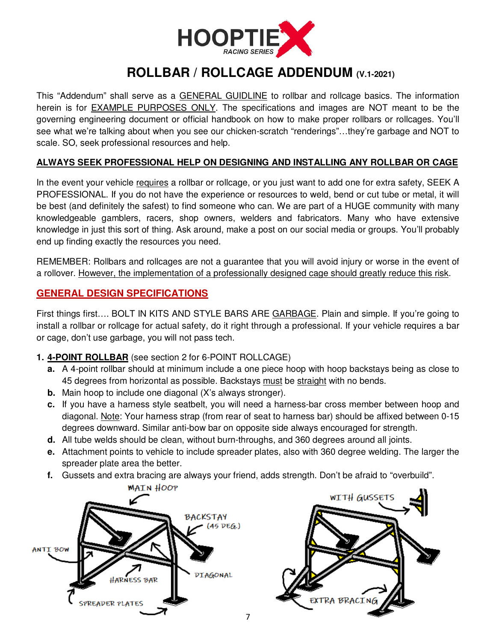

## **ROLLBAR / ROLLCAGE ADDENDUM (V.1-2021)**

This "Addendum" shall serve as a GENERAL GUIDLINE to rollbar and rollcage basics. The information herein is for EXAMPLE PURPOSES ONLY. The specifications and images are NOT meant to be the governing engineering document or official handbook on how to make proper rollbars or rollcages. You'll see what we're talking about when you see our chicken-scratch "renderings"…they're garbage and NOT to scale. SO, seek professional resources and help.

#### **ALWAYS SEEK PROFESSIONAL HELP ON DESIGNING AND INSTALLING ANY ROLLBAR OR CAGE**

In the event your vehicle requires a rollbar or rollcage, or you just want to add one for extra safety, SEEK A PROFESSIONAL. If you do not have the experience or resources to weld, bend or cut tube or metal, it will be best (and definitely the safest) to find someone who can. We are part of a HUGE community with many knowledgeable gamblers, racers, shop owners, welders and fabricators. Many who have extensive knowledge in just this sort of thing. Ask around, make a post on our social media or groups. You'll probably end up finding exactly the resources you need.

REMEMBER: Rollbars and rollcages are not a guarantee that you will avoid injury or worse in the event of a rollover. However, the implementation of a professionally designed cage should greatly reduce this risk.

### **GENERAL DESIGN SPECIFICATIONS**

First things first…. BOLT IN KITS AND STYLE BARS ARE GARBAGE. Plain and simple. If you're going to install a rollbar or rollcage for actual safety, do it right through a professional. If your vehicle requires a bar or cage, don't use garbage, you will not pass tech.

#### **1. 4-POINT ROLLBAR** (see section 2 for 6-POINT ROLLCAGE)

- **a.** A 4-point rollbar should at minimum include a one piece hoop with hoop backstays being as close to 45 degrees from horizontal as possible. Backstays must be straight with no bends.
- **b.** Main hoop to include one diagonal (X's always stronger).
- **c.** If you have a harness style seatbelt, you will need a harness-bar cross member between hoop and diagonal. Note: Your harness strap (from rear of seat to harness bar) should be affixed between 0-15 degrees downward. Similar anti-bow bar on opposite side always encouraged for strength.
- **d.** All tube welds should be clean, without burn-throughs, and 360 degrees around all joints.
- **e.** Attachment points to vehicle to include spreader plates, also with 360 degree welding. The larger the spreader plate area the better.
- **f.** Gussets and extra bracing are always your friend, adds strength. Don't be afraid to "overbuild".

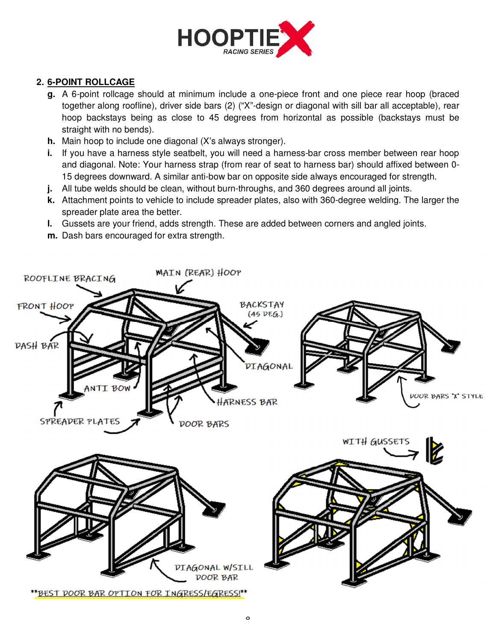

## **2. 6-POINT ROLLCAGE**

- **g.** A 6-point rollcage should at minimum include a one-piece front and one piece rear hoop (braced together along roofline), driver side bars (2) ("X"-design or diagonal with sill bar all acceptable), rear hoop backstays being as close to 45 degrees from horizontal as possible (backstays must be straight with no bends).
- **h.** Main hoop to include one diagonal (X's always stronger).
- **i.** If you have a harness style seatbelt, you will need a harness-bar cross member between rear hoop and diagonal. Note: Your harness strap (from rear of seat to harness bar) should affixed between 0- 15 degrees downward. A similar anti-bow bar on opposite side always encouraged for strength.
- **j.** All tube welds should be clean, without burn-throughs, and 360 degrees around all joints.
- **k.** Attachment points to vehicle to include spreader plates, also with 360-degree welding. The larger the spreader plate area the better.
- **l.** Gussets are your friend, adds strength. These are added between corners and angled joints.
- **m.** Dash bars encouraged for extra strength.